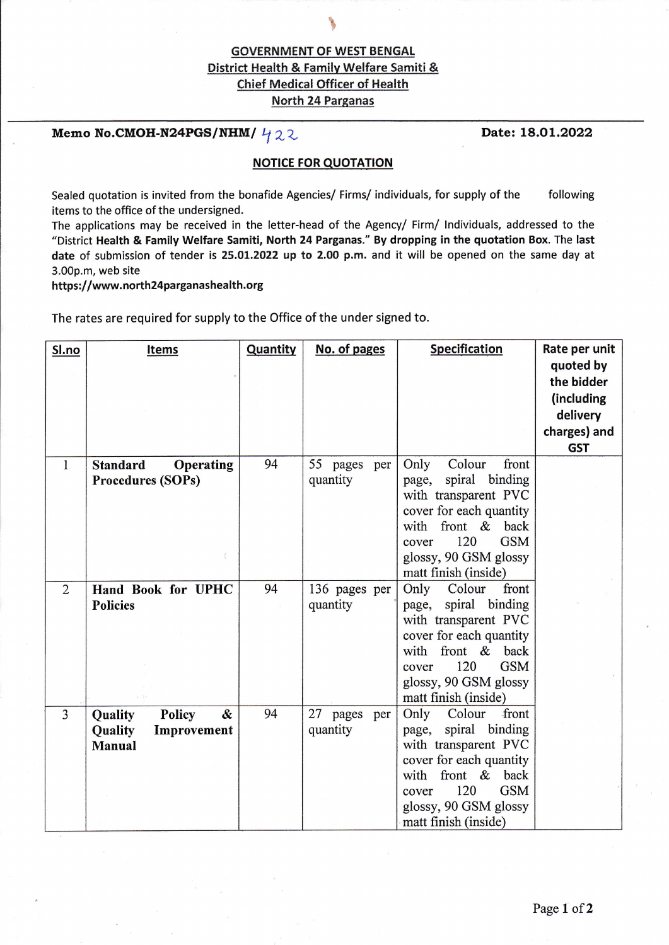## **GOVERNMENT OF WEST BENGAL** District Health & Family Welfare Samiti & **Chief Medical Officer of Health** North 24 Parganas

le de la provincia de la provincia de

## Memo No.CMOH-N24PGS/NHM/ $422$

#### **NOTICE FOR QUOTATION**

Sealed quotation is invited from the bonafide Agencies/ Firms/ individuals, for supply of the following items to the office of the undersigned.

The applications may be received in the letter-head of the Agency/ Firm/ lndividuals, addressed to the "District Health & Family Welfare Samiti, North 24 Parganas." By dropping in the quotation Box. The last date of submission of tender is 25.01.2022 up to 2.00 p.m. and it will be opened on the same day at 3.00p.m, web site

https://www.north24parganashealth.org

The rates are required for supply to the Office of the under signed to.

| Sl.no          | <b>Items</b>                                                      | Quantity | No. of pages              | <b>Specification</b>                                                                                                                                                                                               | Rate per unit                                                                   |
|----------------|-------------------------------------------------------------------|----------|---------------------------|--------------------------------------------------------------------------------------------------------------------------------------------------------------------------------------------------------------------|---------------------------------------------------------------------------------|
|                |                                                                   |          |                           |                                                                                                                                                                                                                    | quoted by<br>the bidder<br>(including<br>delivery<br>charges) and<br><b>GST</b> |
| $\mathbf{1}$   | <b>Standard</b><br><b>Operating</b><br><b>Procedures (SOPs)</b>   | 94       | 55 pages per<br>quantity  | Only<br>Colour<br>front<br>spiral<br>binding<br>page,<br>with transparent PVC<br>cover for each quantity<br>with front &<br>back<br>120<br><b>GSM</b><br>cover<br>glossy, 90 GSM glossy<br>matt finish (inside)    |                                                                                 |
| $\overline{2}$ | Hand Book for UPHC<br><b>Policies</b>                             | 94       | 136 pages per<br>quantity | Only<br>Colour<br>front<br>spiral binding<br>page,<br>with transparent PVC<br>cover for each quantity<br>with front &<br>back<br>120<br><b>GSM</b><br>cover<br>glossy, 90 GSM glossy<br>matt finish (inside)       |                                                                                 |
| $\overline{3}$ | Policy<br>&<br>Quality<br>Quality<br>Improvement<br><b>Manual</b> | 94       | 27 pages per<br>quantity  | Only<br>Colour<br>front<br>spiral binding<br>page,<br>with transparent PVC<br>cover for each quantity<br>front $\&$<br>with<br>back<br>120<br><b>GSM</b><br>cover<br>glossy, 90 GSM glossy<br>matt finish (inside) |                                                                                 |